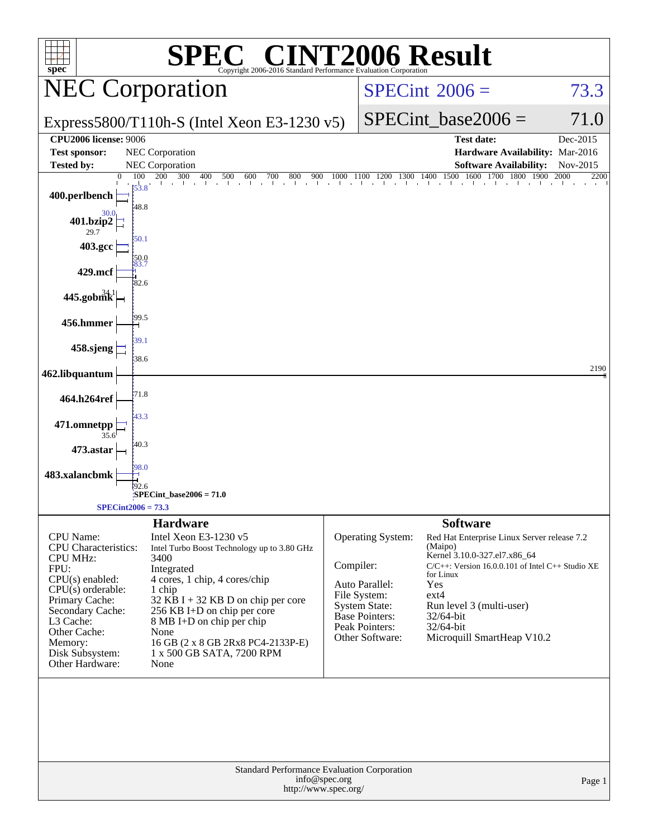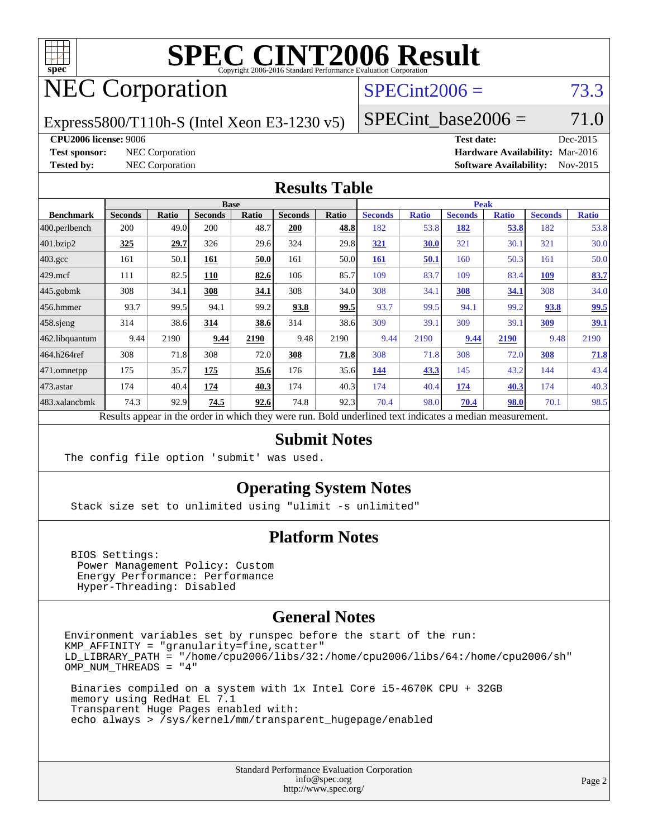

# **[SPEC CINT2006 Result](http://www.spec.org/auto/cpu2006/Docs/result-fields.html#SPECCINT2006Result)**

## NEC Corporation

## $SPECint2006 = 73.3$  $SPECint2006 = 73.3$

Express5800/T110h-S (Intel Xeon E3-1230 v5)

SPECint base2006 =  $71.0$ 

#### **[CPU2006 license:](http://www.spec.org/auto/cpu2006/Docs/result-fields.html#CPU2006license)** 9006 **[Test date:](http://www.spec.org/auto/cpu2006/Docs/result-fields.html#Testdate)** Dec-2015

**[Test sponsor:](http://www.spec.org/auto/cpu2006/Docs/result-fields.html#Testsponsor)** NEC Corporation **[Hardware Availability:](http://www.spec.org/auto/cpu2006/Docs/result-fields.html#HardwareAvailability)** Mar-2016 **[Tested by:](http://www.spec.org/auto/cpu2006/Docs/result-fields.html#Testedby)** NEC Corporation **[Software Availability:](http://www.spec.org/auto/cpu2006/Docs/result-fields.html#SoftwareAvailability)** Nov-2015

### **[Results Table](http://www.spec.org/auto/cpu2006/Docs/result-fields.html#ResultsTable)**

|                    | <b>Base</b>                                                                                              |       |                |       |                |       | <b>Peak</b>    |              |                |              |                |              |
|--------------------|----------------------------------------------------------------------------------------------------------|-------|----------------|-------|----------------|-------|----------------|--------------|----------------|--------------|----------------|--------------|
| <b>Benchmark</b>   | <b>Seconds</b>                                                                                           | Ratio | <b>Seconds</b> | Ratio | <b>Seconds</b> | Ratio | <b>Seconds</b> | <b>Ratio</b> | <b>Seconds</b> | <b>Ratio</b> | <b>Seconds</b> | <b>Ratio</b> |
| 400.perlbench      | 200                                                                                                      | 49.0  | 200            | 48.7  | <b>200</b>     | 48.8  | 182            | 53.8         | 182            | <u>53.8</u>  | 182            | 53.8         |
| 401.bzip2          | 325                                                                                                      | 29.7  | 326            | 29.6  | 324            | 29.8  | <u>321</u>     | 30.0         | 321            | 30.1         | 321            | 30.0         |
| $403.\mathrm{gcc}$ | 161                                                                                                      | 50.1  | 161            | 50.0  | 161            | 50.0  | <b>161</b>     | 50.1         | 160            | 50.3         | 161            | 50.0         |
| $429$ .mcf         | 111                                                                                                      | 82.5  | 110            | 82.6  | 106            | 85.7  | 109            | 83.7         | 109            | 83.4         | <b>109</b>     | 83.7         |
| $445$ .gobmk       | 308                                                                                                      | 34.1  | 308            | 34.1  | 308            | 34.0  | 308            | 34.1         | 308            | 34.1         | 308            | 34.0         |
| $456.$ hmmer       | 93.7                                                                                                     | 99.5  | 94.1           | 99.2  | 93.8           | 99.5  | 93.7           | 99.5         | 94.1           | 99.2         | 93.8           | 99.5         |
| $458$ .sjeng       | 314                                                                                                      | 38.6  | 314            | 38.6  | 314            | 38.6  | 309            | 39.1         | 309            | 39.1         | 309            | <u>39.1</u>  |
| 462.libquantum     | 9.44                                                                                                     | 2190  | 9.44           | 2190  | 9.48           | 2190  | 9.44           | 2190         | 9.44           | 2190         | 9.48           | 2190         |
| 464.h264ref        | 308                                                                                                      | 71.8  | 308            | 72.0  | 308            | 71.8  | 308            | 71.8         | 308            | 72.0         | 308            | 71.8         |
| $ 471$ .omnetpp    | 175                                                                                                      | 35.7  | 175            | 35.6  | 176            | 35.6  | 144            | 43.3         | 145            | 43.2         | 144            | 43.4         |
| $473$ . astar      | 174                                                                                                      | 40.4  | 174            | 40.3  | 174            | 40.3  | 174            | 40.4         | 174            | 40.3         | 174            | 40.3         |
| 483.xalancbmk      | 74.3                                                                                                     | 92.9  | 74.5           | 92.6  | 74.8           | 92.3  | 70.4           | 98.0         | 70.4           | 98.0         | 70.1           | 98.5         |
|                    | Results appear in the order in which they were run. Bold underlined text indicates a median measurement. |       |                |       |                |       |                |              |                |              |                |              |

### **[Submit Notes](http://www.spec.org/auto/cpu2006/Docs/result-fields.html#SubmitNotes)**

The config file option 'submit' was used.

## **[Operating System Notes](http://www.spec.org/auto/cpu2006/Docs/result-fields.html#OperatingSystemNotes)**

Stack size set to unlimited using "ulimit -s unlimited"

## **[Platform Notes](http://www.spec.org/auto/cpu2006/Docs/result-fields.html#PlatformNotes)**

 BIOS Settings: Power Management Policy: Custom Energy Performance: Performance Hyper-Threading: Disabled

### **[General Notes](http://www.spec.org/auto/cpu2006/Docs/result-fields.html#GeneralNotes)**

Environment variables set by runspec before the start of the run: KMP\_AFFINITY = "granularity=fine,scatter" LD\_LIBRARY\_PATH = "/home/cpu2006/libs/32:/home/cpu2006/libs/64:/home/cpu2006/sh" OMP\_NUM\_THREADS = "4"

 Binaries compiled on a system with 1x Intel Core i5-4670K CPU + 32GB memory using RedHat EL 7.1 Transparent Huge Pages enabled with: echo always > /sys/kernel/mm/transparent\_hugepage/enabled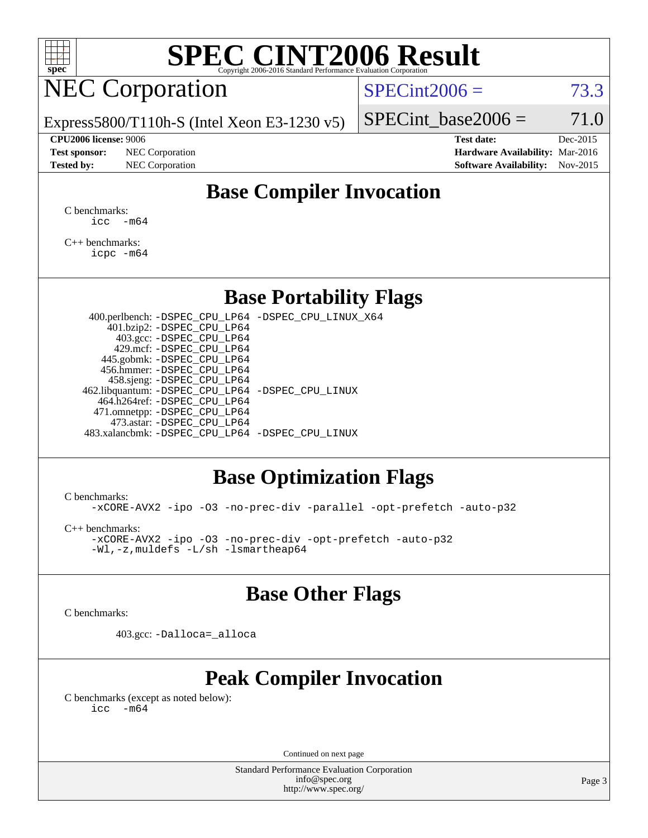

# **[SPEC CINT2006 Result](http://www.spec.org/auto/cpu2006/Docs/result-fields.html#SPECCINT2006Result)**

## NEC Corporation

 $SPECint2006 = 73.3$  $SPECint2006 = 73.3$ 

Express5800/T110h-S (Intel Xeon E3-1230 v5)

#### **[CPU2006 license:](http://www.spec.org/auto/cpu2006/Docs/result-fields.html#CPU2006license)** 9006 **[Test date:](http://www.spec.org/auto/cpu2006/Docs/result-fields.html#Testdate)** Dec-2015

**[Test sponsor:](http://www.spec.org/auto/cpu2006/Docs/result-fields.html#Testsponsor)** NEC Corporation **[Hardware Availability:](http://www.spec.org/auto/cpu2006/Docs/result-fields.html#HardwareAvailability)** Mar-2016

SPECint base2006 =  $71.0$ 

**[Tested by:](http://www.spec.org/auto/cpu2006/Docs/result-fields.html#Testedby)** NEC Corporation **[Software Availability:](http://www.spec.org/auto/cpu2006/Docs/result-fields.html#SoftwareAvailability)** Nov-2015

## **[Base Compiler Invocation](http://www.spec.org/auto/cpu2006/Docs/result-fields.html#BaseCompilerInvocation)**

[C benchmarks](http://www.spec.org/auto/cpu2006/Docs/result-fields.html#Cbenchmarks):  $\text{icc}$   $-\text{m64}$ 

[C++ benchmarks:](http://www.spec.org/auto/cpu2006/Docs/result-fields.html#CXXbenchmarks) [icpc -m64](http://www.spec.org/cpu2006/results/res2016q1/cpu2006-20160125-38924.flags.html#user_CXXbase_intel_icpc_64bit_fc66a5337ce925472a5c54ad6a0de310)

## **[Base Portability Flags](http://www.spec.org/auto/cpu2006/Docs/result-fields.html#BasePortabilityFlags)**

 400.perlbench: [-DSPEC\\_CPU\\_LP64](http://www.spec.org/cpu2006/results/res2016q1/cpu2006-20160125-38924.flags.html#b400.perlbench_basePORTABILITY_DSPEC_CPU_LP64) [-DSPEC\\_CPU\\_LINUX\\_X64](http://www.spec.org/cpu2006/results/res2016q1/cpu2006-20160125-38924.flags.html#b400.perlbench_baseCPORTABILITY_DSPEC_CPU_LINUX_X64) 401.bzip2: [-DSPEC\\_CPU\\_LP64](http://www.spec.org/cpu2006/results/res2016q1/cpu2006-20160125-38924.flags.html#suite_basePORTABILITY401_bzip2_DSPEC_CPU_LP64) 403.gcc: [-DSPEC\\_CPU\\_LP64](http://www.spec.org/cpu2006/results/res2016q1/cpu2006-20160125-38924.flags.html#suite_basePORTABILITY403_gcc_DSPEC_CPU_LP64) 429.mcf: [-DSPEC\\_CPU\\_LP64](http://www.spec.org/cpu2006/results/res2016q1/cpu2006-20160125-38924.flags.html#suite_basePORTABILITY429_mcf_DSPEC_CPU_LP64) 445.gobmk: [-DSPEC\\_CPU\\_LP64](http://www.spec.org/cpu2006/results/res2016q1/cpu2006-20160125-38924.flags.html#suite_basePORTABILITY445_gobmk_DSPEC_CPU_LP64) 456.hmmer: [-DSPEC\\_CPU\\_LP64](http://www.spec.org/cpu2006/results/res2016q1/cpu2006-20160125-38924.flags.html#suite_basePORTABILITY456_hmmer_DSPEC_CPU_LP64) 458.sjeng: [-DSPEC\\_CPU\\_LP64](http://www.spec.org/cpu2006/results/res2016q1/cpu2006-20160125-38924.flags.html#suite_basePORTABILITY458_sjeng_DSPEC_CPU_LP64) 462.libquantum: [-DSPEC\\_CPU\\_LP64](http://www.spec.org/cpu2006/results/res2016q1/cpu2006-20160125-38924.flags.html#suite_basePORTABILITY462_libquantum_DSPEC_CPU_LP64) [-DSPEC\\_CPU\\_LINUX](http://www.spec.org/cpu2006/results/res2016q1/cpu2006-20160125-38924.flags.html#b462.libquantum_baseCPORTABILITY_DSPEC_CPU_LINUX) 464.h264ref: [-DSPEC\\_CPU\\_LP64](http://www.spec.org/cpu2006/results/res2016q1/cpu2006-20160125-38924.flags.html#suite_basePORTABILITY464_h264ref_DSPEC_CPU_LP64) 471.omnetpp: [-DSPEC\\_CPU\\_LP64](http://www.spec.org/cpu2006/results/res2016q1/cpu2006-20160125-38924.flags.html#suite_basePORTABILITY471_omnetpp_DSPEC_CPU_LP64) 473.astar: [-DSPEC\\_CPU\\_LP64](http://www.spec.org/cpu2006/results/res2016q1/cpu2006-20160125-38924.flags.html#suite_basePORTABILITY473_astar_DSPEC_CPU_LP64) 483.xalancbmk: [-DSPEC\\_CPU\\_LP64](http://www.spec.org/cpu2006/results/res2016q1/cpu2006-20160125-38924.flags.html#suite_basePORTABILITY483_xalancbmk_DSPEC_CPU_LP64) [-DSPEC\\_CPU\\_LINUX](http://www.spec.org/cpu2006/results/res2016q1/cpu2006-20160125-38924.flags.html#b483.xalancbmk_baseCXXPORTABILITY_DSPEC_CPU_LINUX)

## **[Base Optimization Flags](http://www.spec.org/auto/cpu2006/Docs/result-fields.html#BaseOptimizationFlags)**

[C benchmarks](http://www.spec.org/auto/cpu2006/Docs/result-fields.html#Cbenchmarks):

[-xCORE-AVX2](http://www.spec.org/cpu2006/results/res2016q1/cpu2006-20160125-38924.flags.html#user_CCbase_f-xAVX2_5f5fc0cbe2c9f62c816d3e45806c70d7) [-ipo](http://www.spec.org/cpu2006/results/res2016q1/cpu2006-20160125-38924.flags.html#user_CCbase_f-ipo) [-O3](http://www.spec.org/cpu2006/results/res2016q1/cpu2006-20160125-38924.flags.html#user_CCbase_f-O3) [-no-prec-div](http://www.spec.org/cpu2006/results/res2016q1/cpu2006-20160125-38924.flags.html#user_CCbase_f-no-prec-div) [-parallel](http://www.spec.org/cpu2006/results/res2016q1/cpu2006-20160125-38924.flags.html#user_CCbase_f-parallel) [-opt-prefetch](http://www.spec.org/cpu2006/results/res2016q1/cpu2006-20160125-38924.flags.html#user_CCbase_f-opt-prefetch) [-auto-p32](http://www.spec.org/cpu2006/results/res2016q1/cpu2006-20160125-38924.flags.html#user_CCbase_f-auto-p32)

[C++ benchmarks:](http://www.spec.org/auto/cpu2006/Docs/result-fields.html#CXXbenchmarks)

[-xCORE-AVX2](http://www.spec.org/cpu2006/results/res2016q1/cpu2006-20160125-38924.flags.html#user_CXXbase_f-xAVX2_5f5fc0cbe2c9f62c816d3e45806c70d7) [-ipo](http://www.spec.org/cpu2006/results/res2016q1/cpu2006-20160125-38924.flags.html#user_CXXbase_f-ipo) [-O3](http://www.spec.org/cpu2006/results/res2016q1/cpu2006-20160125-38924.flags.html#user_CXXbase_f-O3) [-no-prec-div](http://www.spec.org/cpu2006/results/res2016q1/cpu2006-20160125-38924.flags.html#user_CXXbase_f-no-prec-div) [-opt-prefetch](http://www.spec.org/cpu2006/results/res2016q1/cpu2006-20160125-38924.flags.html#user_CXXbase_f-opt-prefetch) [-auto-p32](http://www.spec.org/cpu2006/results/res2016q1/cpu2006-20160125-38924.flags.html#user_CXXbase_f-auto-p32) [-Wl,-z,muldefs](http://www.spec.org/cpu2006/results/res2016q1/cpu2006-20160125-38924.flags.html#user_CXXbase_link_force_multiple1_74079c344b956b9658436fd1b6dd3a8a) [-L/sh -lsmartheap64](http://www.spec.org/cpu2006/results/res2016q1/cpu2006-20160125-38924.flags.html#user_CXXbase_SmartHeap64_ed4ef857ce90951921efb0d91eb88472)

## **[Base Other Flags](http://www.spec.org/auto/cpu2006/Docs/result-fields.html#BaseOtherFlags)**

[C benchmarks](http://www.spec.org/auto/cpu2006/Docs/result-fields.html#Cbenchmarks):

403.gcc: [-Dalloca=\\_alloca](http://www.spec.org/cpu2006/results/res2016q1/cpu2006-20160125-38924.flags.html#b403.gcc_baseEXTRA_CFLAGS_Dalloca_be3056838c12de2578596ca5467af7f3)

## **[Peak Compiler Invocation](http://www.spec.org/auto/cpu2006/Docs/result-fields.html#PeakCompilerInvocation)**

[C benchmarks \(except as noted below\)](http://www.spec.org/auto/cpu2006/Docs/result-fields.html#Cbenchmarksexceptasnotedbelow):  $\text{icc}$  -m64

Continued on next page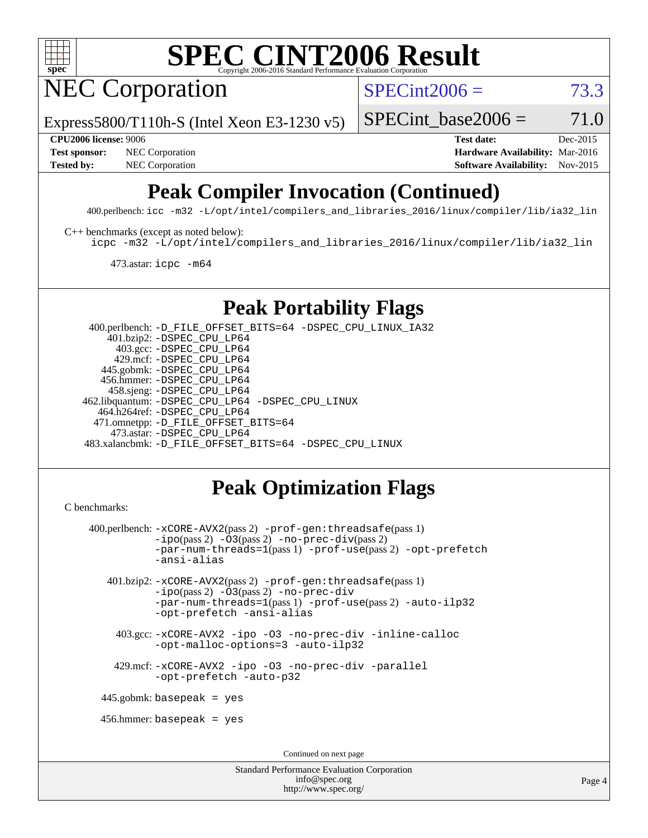

# **[SPEC CINT2006 Result](http://www.spec.org/auto/cpu2006/Docs/result-fields.html#SPECCINT2006Result)**

NEC Corporation

 $SPECint2006 = 73.3$  $SPECint2006 = 73.3$ 

Express5800/T110h-S (Intel Xeon E3-1230 v5)

SPECint base2006 =  $71.0$ 

**[Test sponsor:](http://www.spec.org/auto/cpu2006/Docs/result-fields.html#Testsponsor)** NEC Corporation **NEC Corporation [Hardware Availability:](http://www.spec.org/auto/cpu2006/Docs/result-fields.html#HardwareAvailability)** Mar-2016

**[CPU2006 license:](http://www.spec.org/auto/cpu2006/Docs/result-fields.html#CPU2006license)** 9006 **[Test date:](http://www.spec.org/auto/cpu2006/Docs/result-fields.html#Testdate)** Dec-2015 **[Tested by:](http://www.spec.org/auto/cpu2006/Docs/result-fields.html#Testedby)** NEC Corporation **[Software Availability:](http://www.spec.org/auto/cpu2006/Docs/result-fields.html#SoftwareAvailability)** Nov-2015

## **[Peak Compiler Invocation \(Continued\)](http://www.spec.org/auto/cpu2006/Docs/result-fields.html#PeakCompilerInvocation)**

400.perlbench: [icc -m32 -L/opt/intel/compilers\\_and\\_libraries\\_2016/linux/compiler/lib/ia32\\_lin](http://www.spec.org/cpu2006/results/res2016q1/cpu2006-20160125-38924.flags.html#user_peakCCLD400_perlbench_intel_icc_e10256ba5924b668798078a321b0cb3f)

[C++ benchmarks \(except as noted below\):](http://www.spec.org/auto/cpu2006/Docs/result-fields.html#CXXbenchmarksexceptasnotedbelow)

[icpc -m32 -L/opt/intel/compilers\\_and\\_libraries\\_2016/linux/compiler/lib/ia32\\_lin](http://www.spec.org/cpu2006/results/res2016q1/cpu2006-20160125-38924.flags.html#user_CXXpeak_intel_icpc_b4f50a394bdb4597aa5879c16bc3f5c5)

473.astar: [icpc -m64](http://www.spec.org/cpu2006/results/res2016q1/cpu2006-20160125-38924.flags.html#user_peakCXXLD473_astar_intel_icpc_64bit_fc66a5337ce925472a5c54ad6a0de310)

## **[Peak Portability Flags](http://www.spec.org/auto/cpu2006/Docs/result-fields.html#PeakPortabilityFlags)**

 400.perlbench: [-D\\_FILE\\_OFFSET\\_BITS=64](http://www.spec.org/cpu2006/results/res2016q1/cpu2006-20160125-38924.flags.html#user_peakPORTABILITY400_perlbench_file_offset_bits_64_438cf9856305ebd76870a2c6dc2689ab) [-DSPEC\\_CPU\\_LINUX\\_IA32](http://www.spec.org/cpu2006/results/res2016q1/cpu2006-20160125-38924.flags.html#b400.perlbench_peakCPORTABILITY_DSPEC_CPU_LINUX_IA32) 401.bzip2: [-DSPEC\\_CPU\\_LP64](http://www.spec.org/cpu2006/results/res2016q1/cpu2006-20160125-38924.flags.html#suite_peakPORTABILITY401_bzip2_DSPEC_CPU_LP64) 403.gcc: [-DSPEC\\_CPU\\_LP64](http://www.spec.org/cpu2006/results/res2016q1/cpu2006-20160125-38924.flags.html#suite_peakPORTABILITY403_gcc_DSPEC_CPU_LP64) 429.mcf: [-DSPEC\\_CPU\\_LP64](http://www.spec.org/cpu2006/results/res2016q1/cpu2006-20160125-38924.flags.html#suite_peakPORTABILITY429_mcf_DSPEC_CPU_LP64) 445.gobmk: [-DSPEC\\_CPU\\_LP64](http://www.spec.org/cpu2006/results/res2016q1/cpu2006-20160125-38924.flags.html#suite_peakPORTABILITY445_gobmk_DSPEC_CPU_LP64) 456.hmmer: [-DSPEC\\_CPU\\_LP64](http://www.spec.org/cpu2006/results/res2016q1/cpu2006-20160125-38924.flags.html#suite_peakPORTABILITY456_hmmer_DSPEC_CPU_LP64) 458.sjeng: [-DSPEC\\_CPU\\_LP64](http://www.spec.org/cpu2006/results/res2016q1/cpu2006-20160125-38924.flags.html#suite_peakPORTABILITY458_sjeng_DSPEC_CPU_LP64) 462.libquantum: [-DSPEC\\_CPU\\_LP64](http://www.spec.org/cpu2006/results/res2016q1/cpu2006-20160125-38924.flags.html#suite_peakPORTABILITY462_libquantum_DSPEC_CPU_LP64) [-DSPEC\\_CPU\\_LINUX](http://www.spec.org/cpu2006/results/res2016q1/cpu2006-20160125-38924.flags.html#b462.libquantum_peakCPORTABILITY_DSPEC_CPU_LINUX) 464.h264ref: [-DSPEC\\_CPU\\_LP64](http://www.spec.org/cpu2006/results/res2016q1/cpu2006-20160125-38924.flags.html#suite_peakPORTABILITY464_h264ref_DSPEC_CPU_LP64) 471.omnetpp: [-D\\_FILE\\_OFFSET\\_BITS=64](http://www.spec.org/cpu2006/results/res2016q1/cpu2006-20160125-38924.flags.html#user_peakPORTABILITY471_omnetpp_file_offset_bits_64_438cf9856305ebd76870a2c6dc2689ab) 473.astar: [-DSPEC\\_CPU\\_LP64](http://www.spec.org/cpu2006/results/res2016q1/cpu2006-20160125-38924.flags.html#suite_peakPORTABILITY473_astar_DSPEC_CPU_LP64) 483.xalancbmk: [-D\\_FILE\\_OFFSET\\_BITS=64](http://www.spec.org/cpu2006/results/res2016q1/cpu2006-20160125-38924.flags.html#user_peakPORTABILITY483_xalancbmk_file_offset_bits_64_438cf9856305ebd76870a2c6dc2689ab) [-DSPEC\\_CPU\\_LINUX](http://www.spec.org/cpu2006/results/res2016q1/cpu2006-20160125-38924.flags.html#b483.xalancbmk_peakCXXPORTABILITY_DSPEC_CPU_LINUX)

## **[Peak Optimization Flags](http://www.spec.org/auto/cpu2006/Docs/result-fields.html#PeakOptimizationFlags)**

```
C benchmarks: 
400.perlbench: -xCORE-AVX2(pass 2) -prof-gen:threadsafe(pass 1)
           -i\text{po}(pass 2) -\overline{0}3(pass 2)-no-prec-div(pass 2)
           -par-num-threads=1(pass 1) -prof-use(pass 2) -opt-prefetch
           -ansi-alias
   401.bzip2: -xCORE-AVX2(pass 2) -prof-gen:threadsafe(pass 1)
            -ipo(pass 2) -O3(pass 2) -no-prec-div
            -par-num-threads=1(pass 1) -prof-use(pass 2) -auto-ilp32
            -opt-prefetch -ansi-alias
     403.gcc: -xCORE-AVX2 -ipo -O3 -no-prec-div -inline-calloc
            -opt-malloc-options=3 -auto-ilp32
     429.mcf: -xCORE-AVX2 -ipo -O3 -no-prec-div -parallel
           -opt-prefetch -auto-p32
  445.gobmk: basepeak = yes
  456.hmmer: basepeak = yes
                                   Continued on next page
```